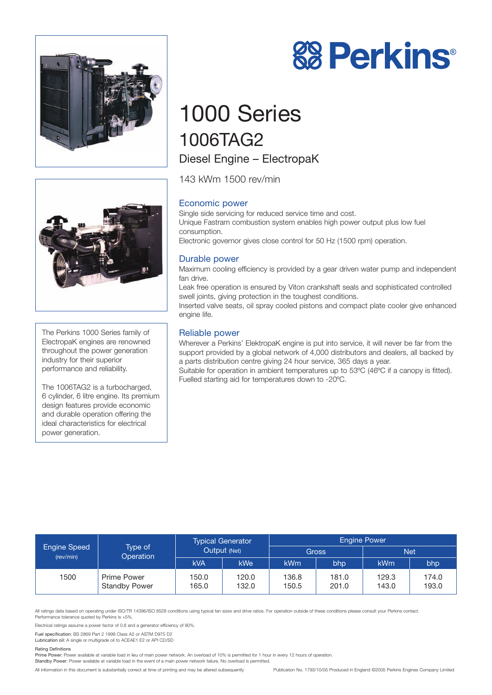



# 1000 Series 1006TAG2 Diesel Engine – ElectropaK

143 kWm 1500 rev/min

# Economic power

Single side servicing for reduced service time and cost. Unique Fastram combustion system enables high power output plus low fuel consumption. Electronic governor gives close control for 50 Hz (1500 rpm) operation.

## Durable power

Maximum cooling efficiency is provided by a gear driven water pump and independent fan drive.

Leak free operation is ensured by Viton crankshaft seals and sophisticated controlled swell joints, giving protection in the toughest conditions.

Inserted valve seats, oil spray cooled pistons and compact plate cooler give enhanced engine life.

## Reliable power

Wherever a Perkins' ElektropaK engine is put into service, it will never be far from the support provided by a global network of 4,000 distributors and dealers, all backed by a parts distribution centre giving 24 hour service, 365 days a year.

Suitable for operation in ambient temperatures up to 53ºC (46ºC if a canopy is fitted). Fuelled starting aid for temperatures down to -20ºC.

| <b>Engine Speed</b><br>(rev/min) | Type of<br><b>Operation</b>                | <b>Typical Generator</b><br>Output (Net) |                | <b>Engine Power</b> |                |                |                |
|----------------------------------|--------------------------------------------|------------------------------------------|----------------|---------------------|----------------|----------------|----------------|
|                                  |                                            |                                          |                | Gross               |                | <b>Net</b>     |                |
|                                  |                                            | <b>kVA</b>                               | <b>kWe</b>     | kWm                 | bhp            | kWm            | bhp            |
| 1500                             | <b>Prime Power</b><br><b>Standby Power</b> | 150.0<br>165.0                           | 120.0<br>132.0 | 136.8<br>150.5      | 181.0<br>201.0 | 129.3<br>143.0 | 174.0<br>193.0 |

All ratings data based on operating under ISO/TR 14396/ISO 8528 conditions using typical fan sizes and drive ratios. For operation outside of these conditions please consult your Perkins contact. Performance tolerance quoted by Perkins is +5%.

Electrical ratings assume a power factor of 0.8 and a generator efficiency of 90%.

Fuel specification: BS 2869 Part 2 1998 Class A2 or ASTM D975 D2

Lubrication oil: A single or multigrade oil to ACEAE1 E2 or API CD/SD

#### Rating Definitions

Prime Power: Power available at variable load in lieu of main power network. An overload of 10% is permitted for 1 hour in every 12 hours of operation.

Standby Power: Power available at variable load in the event of a main power network failure. No overload is permitted.

All information in this document is substantially correct at time of printing and may be altered subsequently Publication No. 1793/10/05 Produced in England ©2005 Perkins Engines Company Limited



The Perkins 1000 Series family of ElectropaK engines are renowned throughout the power generation industry for their superior performance and reliability.

The 1006TAG2 is a turbocharged, 6 cylinder, 6 litre engine. Its premium design features provide economic and durable operation offering the ideal characteristics for electrical power generation.